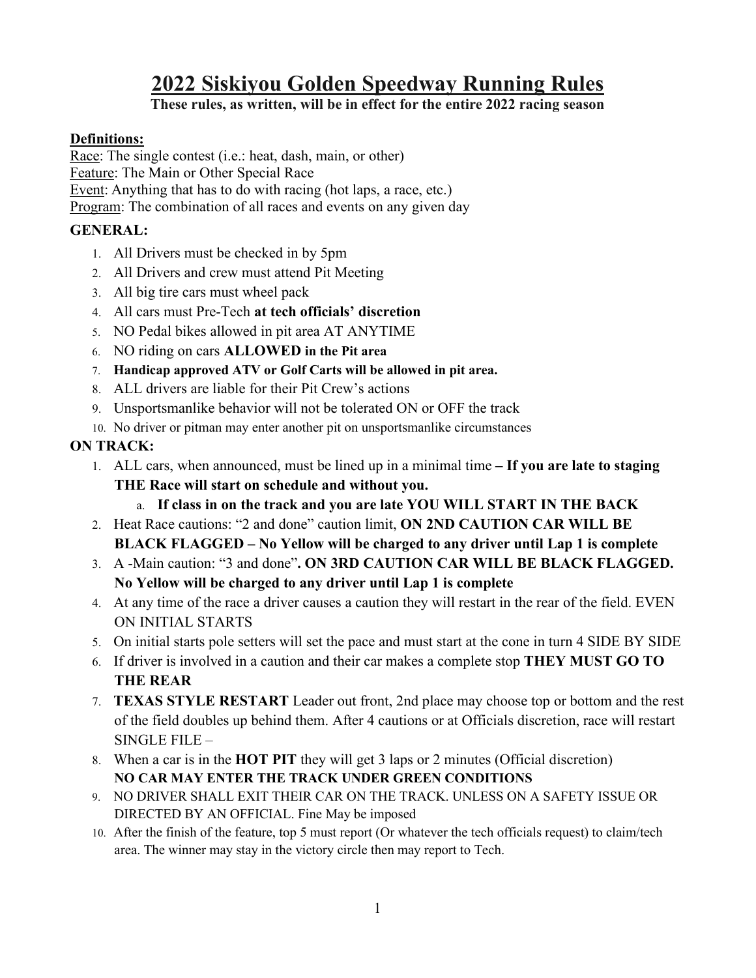# **2022 Siskiyou Golden Speedway Running Rules**

# **These rules, as written, will be in effect for the entire 2022 racing season**

# **Definitions:**

Race: The single contest (i.e.: heat, dash, main, or other) Feature: The Main or Other Special Race Event: Anything that has to do with racing (hot laps, a race, etc.) Program: The combination of all races and events on any given day

# **GENERAL:**

- 1. All Drivers must be checked in by 5pm
- 2. All Drivers and crew must attend Pit Meeting
- 3. All big tire cars must wheel pack
- 4. All cars must Pre-Tech **at tech officials' discretion**
- 5. NO Pedal bikes allowed in pit area AT ANYTIME
- 6. NO riding on cars **ALLOWED in the Pit area**
- 7. **Handicap approved ATV or Golf Carts will be allowed in pit area.**
- 8. ALL drivers are liable for their Pit Crew's actions
- 9. Unsportsmanlike behavior will not be tolerated ON or OFF the track
- 10. No driver or pitman may enter another pit on unsportsmanlike circumstances

# **ON TRACK:**

- 1. ALL cars, when announced, must be lined up in a minimal time **– If you are late to staging THE Race will start on schedule and without you.**
	- a. **If class in on the track and you are late YOU WILL START IN THE BACK**
- 2. Heat Race cautions: "2 and done" caution limit, **ON 2ND CAUTION CAR WILL BE BLACK FLAGGED – No Yellow will be charged to any driver until Lap 1 is complete**
- 3. A -Main caution: "3 and done"**. ON 3RD CAUTION CAR WILL BE BLACK FLAGGED. No Yellow will be charged to any driver until Lap 1 is complete**
- 4. At any time of the race a driver causes a caution they will restart in the rear of the field. EVEN ON INITIAL STARTS
- 5. On initial starts pole setters will set the pace and must start at the cone in turn 4 SIDE BY SIDE
- 6. If driver is involved in a caution and their car makes a complete stop **THEY MUST GO TO THE REAR**
- 7. **TEXAS STYLE RESTART** Leader out front, 2nd place may choose top or bottom and the rest of the field doubles up behind them. After 4 cautions or at Officials discretion, race will restart SINGLE FILE –
- 8. When a car is in the **HOT PIT** they will get 3 laps or 2 minutes (Official discretion) **NO CAR MAY ENTER THE TRACK UNDER GREEN CONDITIONS**
- 9. NO DRIVER SHALL EXIT THEIR CAR ON THE TRACK. UNLESS ON A SAFETY ISSUE OR DIRECTED BY AN OFFICIAL. Fine May be imposed
- 10. After the finish of the feature, top 5 must report (Or whatever the tech officials request) to claim/tech area. The winner may stay in the victory circle then may report to Tech.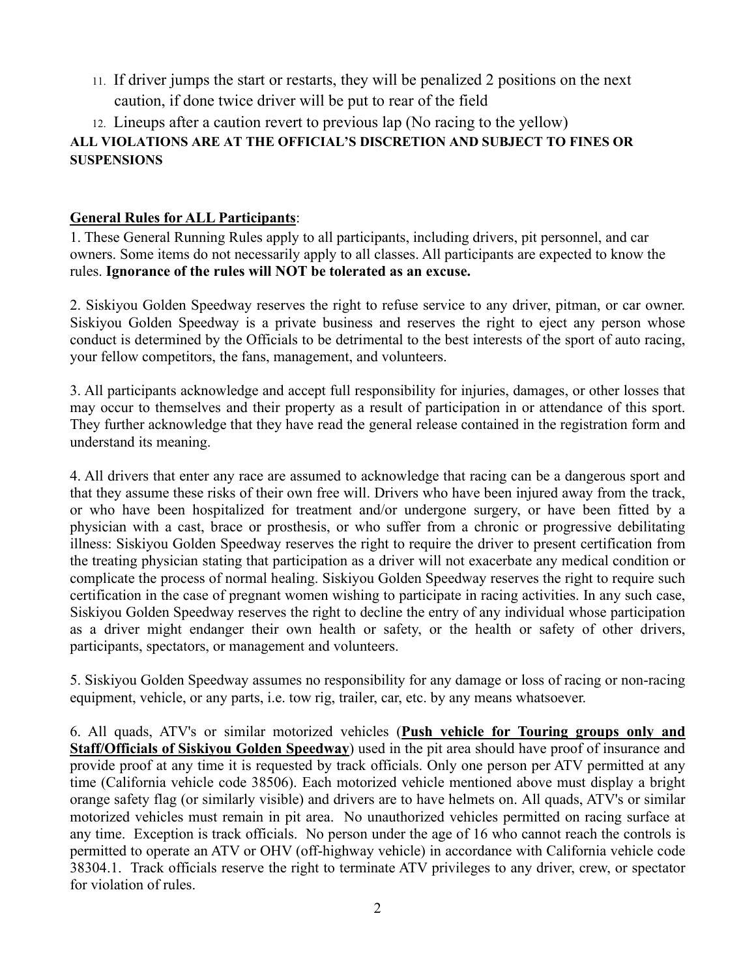11. If driver jumps the start or restarts, they will be penalized 2 positions on the next caution, if done twice driver will be put to rear of the field

# 12. Lineups after a caution revert to previous lap (No racing to the yellow) **ALL VIOLATIONS ARE AT THE OFFICIAL'S DISCRETION AND SUBJECT TO FINES OR SUSPENSIONS**

# **General Rules for ALL Participants**:

1. These General Running Rules apply to all participants, including drivers, pit personnel, and car owners. Some items do not necessarily apply to all classes. All participants are expected to know the rules. **Ignorance of the rules will NOT be tolerated as an excuse.**

2. Siskiyou Golden Speedway reserves the right to refuse service to any driver, pitman, or car owner. Siskiyou Golden Speedway is a private business and reserves the right to eject any person whose conduct is determined by the Officials to be detrimental to the best interests of the sport of auto racing, your fellow competitors, the fans, management, and volunteers.

3. All participants acknowledge and accept full responsibility for injuries, damages, or other losses that may occur to themselves and their property as a result of participation in or attendance of this sport. They further acknowledge that they have read the general release contained in the registration form and understand its meaning.

4. All drivers that enter any race are assumed to acknowledge that racing can be a dangerous sport and that they assume these risks of their own free will. Drivers who have been injured away from the track, or who have been hospitalized for treatment and/or undergone surgery, or have been fitted by a physician with a cast, brace or prosthesis, or who suffer from a chronic or progressive debilitating illness: Siskiyou Golden Speedway reserves the right to require the driver to present certification from the treating physician stating that participation as a driver will not exacerbate any medical condition or complicate the process of normal healing. Siskiyou Golden Speedway reserves the right to require such certification in the case of pregnant women wishing to participate in racing activities. In any such case, Siskiyou Golden Speedway reserves the right to decline the entry of any individual whose participation as a driver might endanger their own health or safety, or the health or safety of other drivers, participants, spectators, or management and volunteers.

5. Siskiyou Golden Speedway assumes no responsibility for any damage or loss of racing or non-racing equipment, vehicle, or any parts, i.e. tow rig, trailer, car, etc. by any means whatsoever.

6. All quads, ATV's or similar motorized vehicles (**Push vehicle for Touring groups only and Staff/Officials of Siskiyou Golden Speedway**) used in the pit area should have proof of insurance and provide proof at any time it is requested by track officials. Only one person per ATV permitted at any time (California vehicle code 38506). Each motorized vehicle mentioned above must display a bright orange safety flag (or similarly visible) and drivers are to have helmets on. All quads, ATV's or similar motorized vehicles must remain in pit area. No unauthorized vehicles permitted on racing surface at any time. Exception is track officials. No person under the age of 16 who cannot reach the controls is permitted to operate an ATV or OHV (off-highway vehicle) in accordance with California vehicle code 38304.1. Track officials reserve the right to terminate ATV privileges to any driver, crew, or spectator for violation of rules.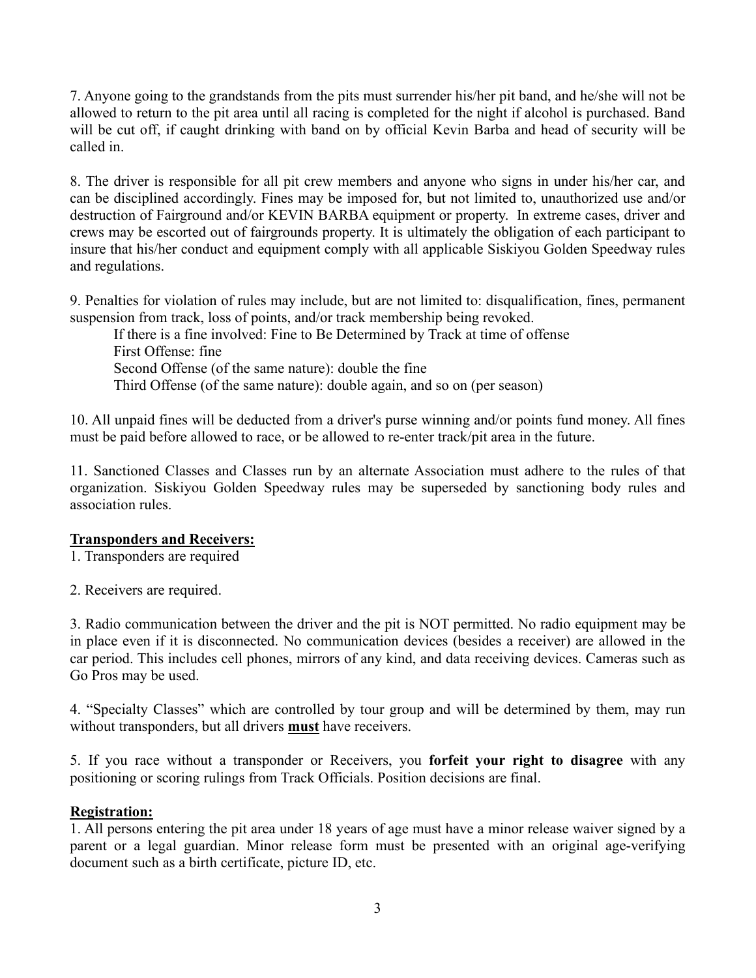7. Anyone going to the grandstands from the pits must surrender his/her pit band, and he/she will not be allowed to return to the pit area until all racing is completed for the night if alcohol is purchased. Band will be cut off, if caught drinking with band on by official Kevin Barba and head of security will be called in.

8. The driver is responsible for all pit crew members and anyone who signs in under his/her car, and can be disciplined accordingly. Fines may be imposed for, but not limited to, unauthorized use and/or destruction of Fairground and/or KEVIN BARBA equipment or property. In extreme cases, driver and crews may be escorted out of fairgrounds property. It is ultimately the obligation of each participant to insure that his/her conduct and equipment comply with all applicable Siskiyou Golden Speedway rules and regulations.

9. Penalties for violation of rules may include, but are not limited to: disqualification, fines, permanent suspension from track, loss of points, and/or track membership being revoked.

If there is a fine involved: Fine to Be Determined by Track at time of offense First Offense: fine Second Offense (of the same nature): double the fine Third Offense (of the same nature): double again, and so on (per season)

10. All unpaid fines will be deducted from a driver's purse winning and/or points fund money. All fines must be paid before allowed to race, or be allowed to re-enter track/pit area in the future.

11. Sanctioned Classes and Classes run by an alternate Association must adhere to the rules of that organization. Siskiyou Golden Speedway rules may be superseded by sanctioning body rules and association rules.

# **Transponders and Receivers:**

1. Transponders are required

2. Receivers are required.

3. Radio communication between the driver and the pit is NOT permitted. No radio equipment may be in place even if it is disconnected. No communication devices (besides a receiver) are allowed in the car period. This includes cell phones, mirrors of any kind, and data receiving devices. Cameras such as Go Pros may be used.

4. "Specialty Classes" which are controlled by tour group and will be determined by them, may run without transponders, but all drivers **must** have receivers.

5. If you race without a transponder or Receivers, you **forfeit your right to disagree** with any positioning or scoring rulings from Track Officials. Position decisions are final.

#### **Registration:**

1. All persons entering the pit area under 18 years of age must have a minor release waiver signed by a parent or a legal guardian. Minor release form must be presented with an original age-verifying document such as a birth certificate, picture ID, etc.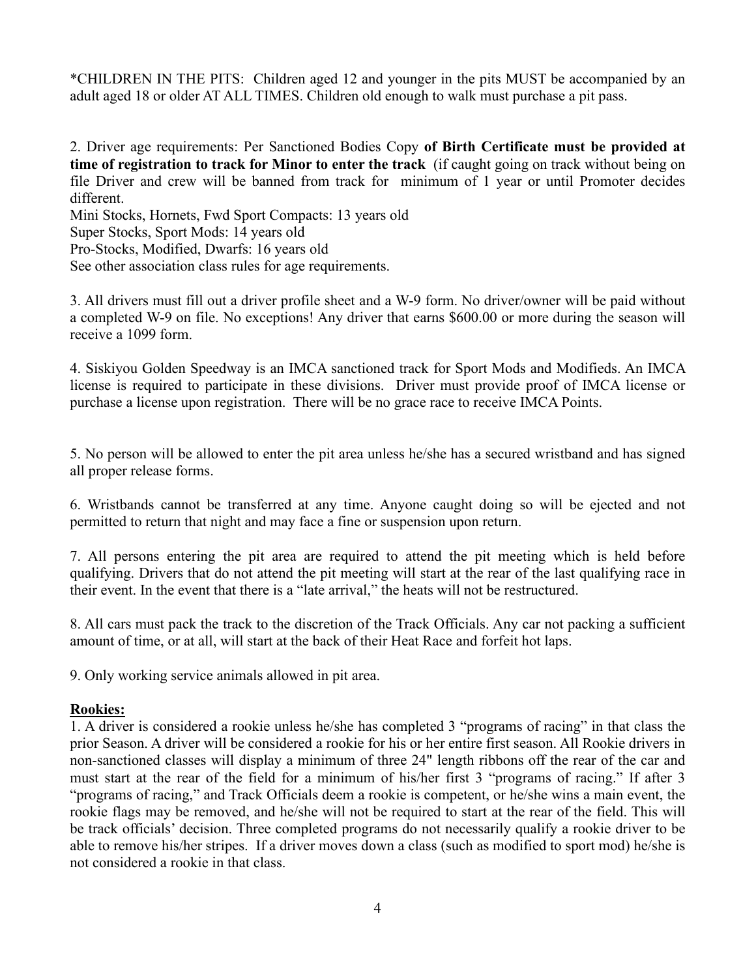\*CHILDREN IN THE PITS: Children aged 12 and younger in the pits MUST be accompanied by an adult aged 18 or older AT ALL TIMES. Children old enough to walk must purchase a pit pass.

2. Driver age requirements: Per Sanctioned Bodies Copy **of Birth Certificate must be provided at time of registration to track for Minor to enter the track** (if caught going on track without being on file Driver and crew will be banned from track for minimum of 1 year or until Promoter decides different.

Mini Stocks, Hornets, Fwd Sport Compacts: 13 years old Super Stocks, Sport Mods: 14 years old Pro-Stocks, Modified, Dwarfs: 16 years old See other association class rules for age requirements.

3. All drivers must fill out a driver profile sheet and a W-9 form. No driver/owner will be paid without a completed W-9 on file. No exceptions! Any driver that earns \$600.00 or more during the season will receive a 1099 form.

4. Siskiyou Golden Speedway is an IMCA sanctioned track for Sport Mods and Modifieds. An IMCA license is required to participate in these divisions. Driver must provide proof of IMCA license or purchase a license upon registration. There will be no grace race to receive IMCA Points.

5. No person will be allowed to enter the pit area unless he/she has a secured wristband and has signed all proper release forms.

6. Wristbands cannot be transferred at any time. Anyone caught doing so will be ejected and not permitted to return that night and may face a fine or suspension upon return.

7. All persons entering the pit area are required to attend the pit meeting which is held before qualifying. Drivers that do not attend the pit meeting will start at the rear of the last qualifying race in their event. In the event that there is a "late arrival," the heats will not be restructured.

8. All cars must pack the track to the discretion of the Track Officials. Any car not packing a sufficient amount of time, or at all, will start at the back of their Heat Race and forfeit hot laps.

9. Only working service animals allowed in pit area.

#### **Rookies:**

1. A driver is considered a rookie unless he/she has completed 3 "programs of racing" in that class the prior Season. A driver will be considered a rookie for his or her entire first season. All Rookie drivers in non-sanctioned classes will display a minimum of three 24" length ribbons off the rear of the car and must start at the rear of the field for a minimum of his/her first 3 "programs of racing." If after 3 "programs of racing," and Track Officials deem a rookie is competent, or he/she wins a main event, the rookie flags may be removed, and he/she will not be required to start at the rear of the field. This will be track officials' decision. Three completed programs do not necessarily qualify a rookie driver to be able to remove his/her stripes. If a driver moves down a class (such as modified to sport mod) he/she is not considered a rookie in that class.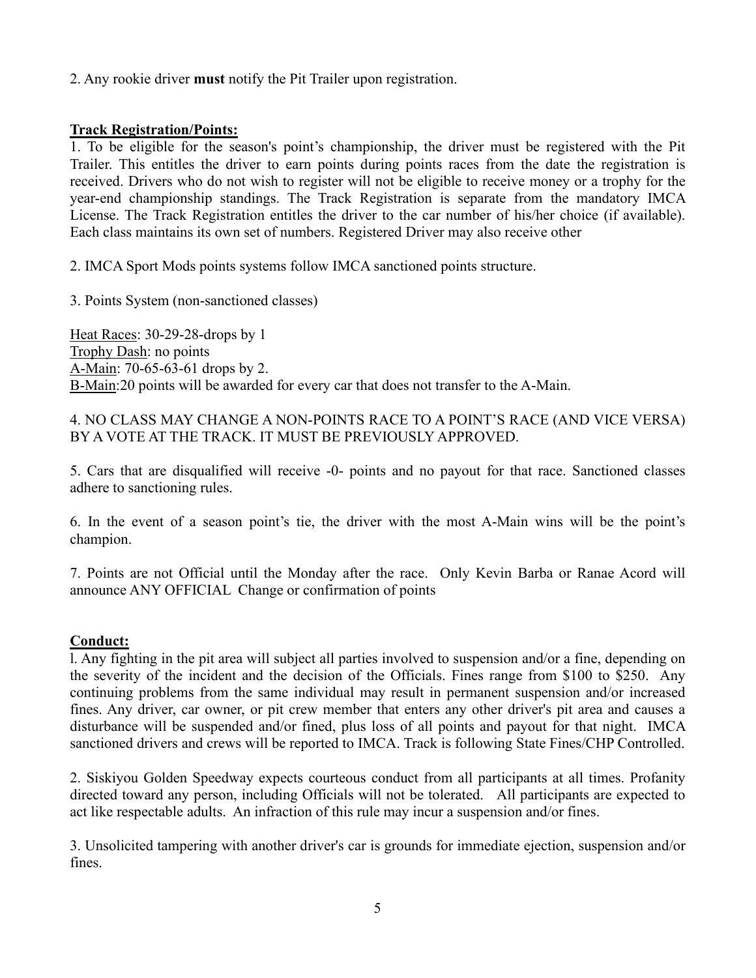2. Any rookie driver **must** notify the Pit Trailer upon registration.

#### **Track Registration/Points:**

1. To be eligible for the season's point's championship, the driver must be registered with the Pit Trailer. This entitles the driver to earn points during points races from the date the registration is received. Drivers who do not wish to register will not be eligible to receive money or a trophy for the year-end championship standings. The Track Registration is separate from the mandatory IMCA License. The Track Registration entitles the driver to the car number of his/her choice (if available). Each class maintains its own set of numbers. Registered Driver may also receive other

2. IMCA Sport Mods points systems follow IMCA sanctioned points structure.

3. Points System (non-sanctioned classes)

Heat Races: 30-29-28-drops by 1 Trophy Dash: no points A-Main: 70-65-63-61 drops by 2. B-Main:20 points will be awarded for every car that does not transfer to the A-Main.

4. NO CLASS MAY CHANGE A NON-POINTS RACE TO A POINT'S RACE (AND VICE VERSA) BY A VOTE AT THE TRACK. IT MUST BE PREVIOUSLY APPROVED.

5. Cars that are disqualified will receive -0- points and no payout for that race. Sanctioned classes adhere to sanctioning rules.

6. In the event of a season point's tie, the driver with the most A-Main wins will be the point's champion.

7. Points are not Official until the Monday after the race. Only Kevin Barba or Ranae Acord will announce ANY OFFICIAL Change or confirmation of points

# **Conduct:**

l. Any fighting in the pit area will subject all parties involved to suspension and/or a fine, depending on the severity of the incident and the decision of the Officials. Fines range from \$100 to \$250. Any continuing problems from the same individual may result in permanent suspension and/or increased fines. Any driver, car owner, or pit crew member that enters any other driver's pit area and causes a disturbance will be suspended and/or fined, plus loss of all points and payout for that night. IMCA sanctioned drivers and crews will be reported to IMCA. Track is following State Fines/CHP Controlled.

2. Siskiyou Golden Speedway expects courteous conduct from all participants at all times. Profanity directed toward any person, including Officials will not be tolerated. All participants are expected to act like respectable adults. An infraction of this rule may incur a suspension and/or fines.

3. Unsolicited tampering with another driver's car is grounds for immediate ejection, suspension and/or fines.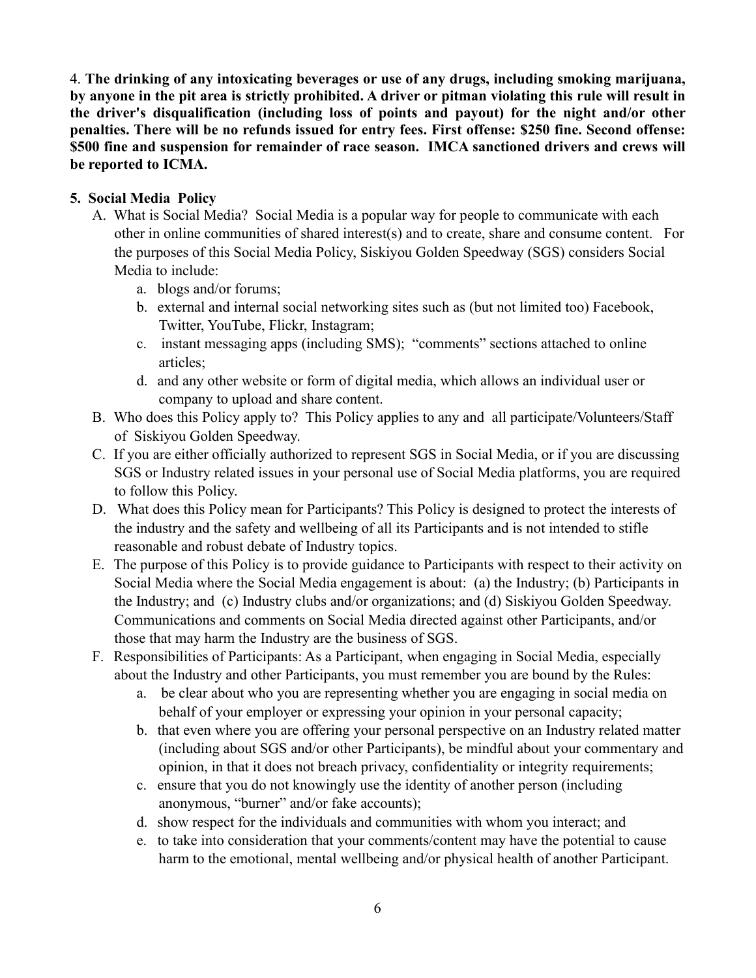4. **The drinking of any intoxicating beverages or use of any drugs, including smoking marijuana, by anyone in the pit area is strictly prohibited. A driver or pitman violating this rule will result in the driver's disqualification (including loss of points and payout) for the night and/or other penalties. There will be no refunds issued for entry fees. First offense: \$250 fine. Second offense: \$500 fine and suspension for remainder of race season. IMCA sanctioned drivers and crews will be reported to ICMA.**

# **5. Social Media Policy**

- A. What is Social Media? Social Media is a popular way for people to communicate with each other in online communities of shared interest(s) and to create, share and consume content. For the purposes of this Social Media Policy, Siskiyou Golden Speedway (SGS) considers Social Media to include:
	- a. blogs and/or forums;
	- b. external and internal social networking sites such as (but not limited too) Facebook, Twitter, YouTube, Flickr, Instagram;
	- c. instant messaging apps (including SMS); "comments" sections attached to online articles;
	- d. and any other website or form of digital media, which allows an individual user or company to upload and share content.
- B. Who does this Policy apply to? This Policy applies to any and all participate/Volunteers/Staff of Siskiyou Golden Speedway.
- C. If you are either officially authorized to represent SGS in Social Media, or if you are discussing SGS or Industry related issues in your personal use of Social Media platforms, you are required to follow this Policy.
- D. What does this Policy mean for Participants? This Policy is designed to protect the interests of the industry and the safety and wellbeing of all its Participants and is not intended to stifle reasonable and robust debate of Industry topics.
- E. The purpose of this Policy is to provide guidance to Participants with respect to their activity on Social Media where the Social Media engagement is about: (a) the Industry; (b) Participants in the Industry; and (c) Industry clubs and/or organizations; and (d) Siskiyou Golden Speedway. Communications and comments on Social Media directed against other Participants, and/or those that may harm the Industry are the business of SGS.
- F. Responsibilities of Participants: As a Participant, when engaging in Social Media, especially about the Industry and other Participants, you must remember you are bound by the Rules:
	- a. be clear about who you are representing whether you are engaging in social media on behalf of your employer or expressing your opinion in your personal capacity;
	- b. that even where you are offering your personal perspective on an Industry related matter (including about SGS and/or other Participants), be mindful about your commentary and opinion, in that it does not breach privacy, confidentiality or integrity requirements;
	- c. ensure that you do not knowingly use the identity of another person (including anonymous, "burner" and/or fake accounts);
	- d. show respect for the individuals and communities with whom you interact; and
	- e. to take into consideration that your comments/content may have the potential to cause harm to the emotional, mental wellbeing and/or physical health of another Participant.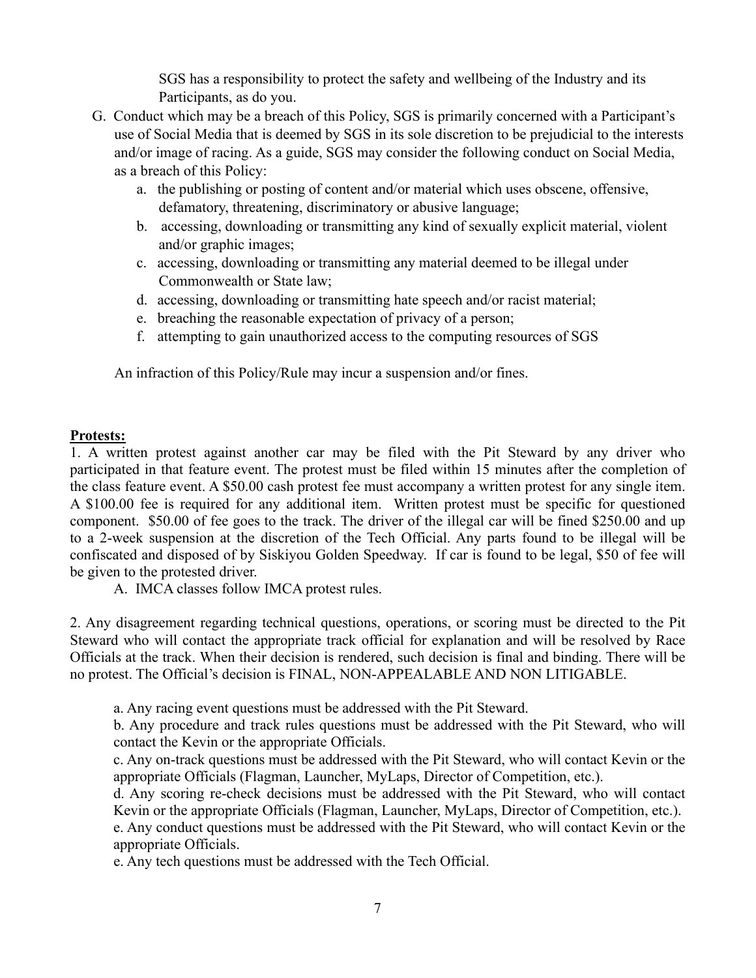SGS has a responsibility to protect the safety and wellbeing of the Industry and its Participants, as do you.

- G. Conduct which may be a breach of this Policy, SGS is primarily concerned with a Participant's use of Social Media that is deemed by SGS in its sole discretion to be prejudicial to the interests and/or image of racing. As a guide, SGS may consider the following conduct on Social Media, as a breach of this Policy:
	- a. the publishing or posting of content and/or material which uses obscene, offensive, defamatory, threatening, discriminatory or abusive language;
	- b. accessing, downloading or transmitting any kind of sexually explicit material, violent and/or graphic images;
	- c. accessing, downloading or transmitting any material deemed to be illegal under Commonwealth or State law;
	- d. accessing, downloading or transmitting hate speech and/or racist material;
	- e. breaching the reasonable expectation of privacy of a person;
	- f. attempting to gain unauthorized access to the computing resources of SGS

An infraction of this Policy/Rule may incur a suspension and/or fines.

#### **Protests:**

1. A written protest against another car may be filed with the Pit Steward by any driver who participated in that feature event. The protest must be filed within 15 minutes after the completion of the class feature event. A \$50.00 cash protest fee must accompany a written protest for any single item. A \$100.00 fee is required for any additional item. Written protest must be specific for questioned component. \$50.00 of fee goes to the track. The driver of the illegal car will be fined \$250.00 and up to a 2-week suspension at the discretion of the Tech Official. Any parts found to be illegal will be confiscated and disposed of by Siskiyou Golden Speedway. If car is found to be legal, \$50 of fee will be given to the protested driver.

A. IMCA classes follow IMCA protest rules.

2. Any disagreement regarding technical questions, operations, or scoring must be directed to the Pit Steward who will contact the appropriate track official for explanation and will be resolved by Race Officials at the track. When their decision is rendered, such decision is final and binding. There will be no protest. The Official's decision is FINAL, NON-APPEALABLE AND NON LITIGABLE.

a. Any racing event questions must be addressed with the Pit Steward.

b. Any procedure and track rules questions must be addressed with the Pit Steward, who will contact the Kevin or the appropriate Officials.

c. Any on-track questions must be addressed with the Pit Steward, who will contact Kevin or the appropriate Officials (Flagman, Launcher, MyLaps, Director of Competition, etc.).

d. Any scoring re-check decisions must be addressed with the Pit Steward, who will contact Kevin or the appropriate Officials (Flagman, Launcher, MyLaps, Director of Competition, etc.).

e. Any conduct questions must be addressed with the Pit Steward, who will contact Kevin or the appropriate Officials.

e. Any tech questions must be addressed with the Tech Official.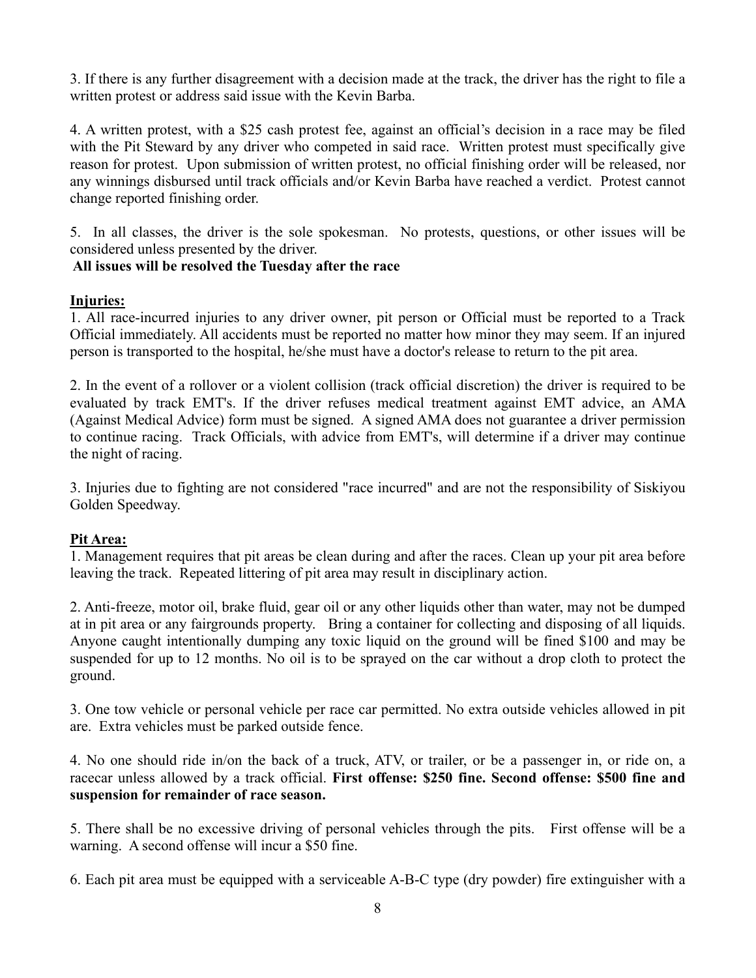3. If there is any further disagreement with a decision made at the track, the driver has the right to file a written protest or address said issue with the Kevin Barba.

4. A written protest, with a \$25 cash protest fee, against an official's decision in a race may be filed with the Pit Steward by any driver who competed in said race. Written protest must specifically give reason for protest. Upon submission of written protest, no official finishing order will be released, nor any winnings disbursed until track officials and/or Kevin Barba have reached a verdict. Protest cannot change reported finishing order.

5. In all classes, the driver is the sole spokesman. No protests, questions, or other issues will be considered unless presented by the driver.

## **All issues will be resolved the Tuesday after the race**

## **Injuries:**

1. All race-incurred injuries to any driver owner, pit person or Official must be reported to a Track Official immediately. All accidents must be reported no matter how minor they may seem. If an injured person is transported to the hospital, he/she must have a doctor's release to return to the pit area.

2. In the event of a rollover or a violent collision (track official discretion) the driver is required to be evaluated by track EMT's. If the driver refuses medical treatment against EMT advice, an AMA (Against Medical Advice) form must be signed. A signed AMA does not guarantee a driver permission to continue racing. Track Officials, with advice from EMT's, will determine if a driver may continue the night of racing.

3. Injuries due to fighting are not considered "race incurred" and are not the responsibility of Siskiyou Golden Speedway.

# **Pit Area:**

1. Management requires that pit areas be clean during and after the races. Clean up your pit area before leaving the track. Repeated littering of pit area may result in disciplinary action.

2. Anti-freeze, motor oil, brake fluid, gear oil or any other liquids other than water, may not be dumped at in pit area or any fairgrounds property. Bring a container for collecting and disposing of all liquids. Anyone caught intentionally dumping any toxic liquid on the ground will be fined \$100 and may be suspended for up to 12 months. No oil is to be sprayed on the car without a drop cloth to protect the ground.

3. One tow vehicle or personal vehicle per race car permitted. No extra outside vehicles allowed in pit are. Extra vehicles must be parked outside fence.

4. No one should ride in/on the back of a truck, ATV, or trailer, or be a passenger in, or ride on, a racecar unless allowed by a track official. **First offense: \$250 fine. Second offense: \$500 fine and suspension for remainder of race season.**

5. There shall be no excessive driving of personal vehicles through the pits. First offense will be a warning. A second offense will incur a \$50 fine.

6. Each pit area must be equipped with a serviceable A-B-C type (dry powder) fire extinguisher with a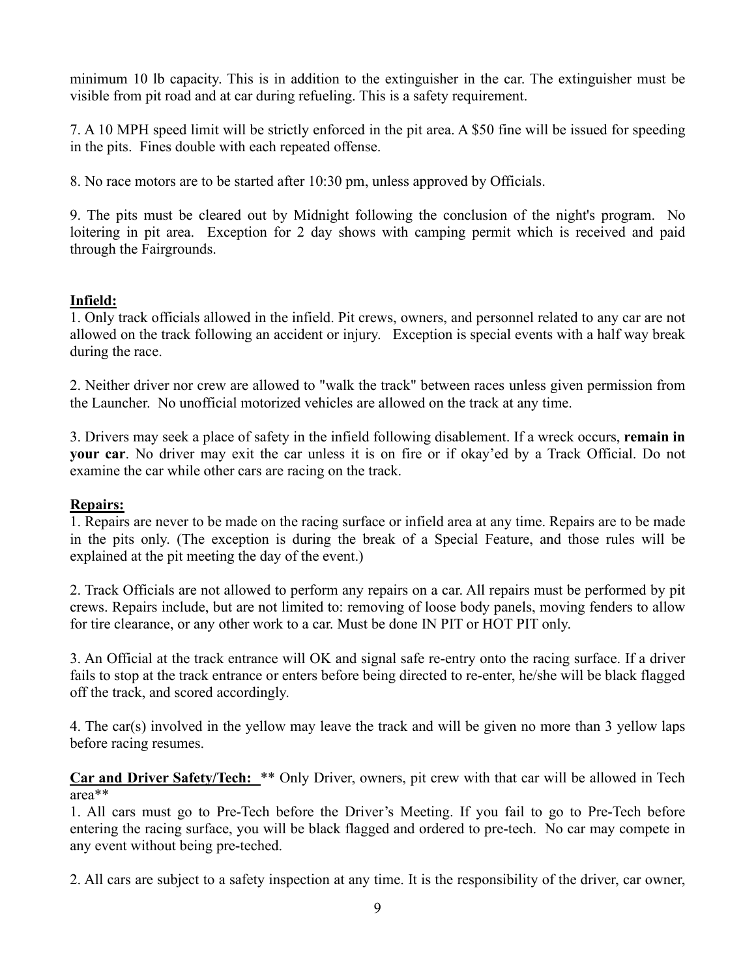minimum 10 lb capacity. This is in addition to the extinguisher in the car. The extinguisher must be visible from pit road and at car during refueling. This is a safety requirement.

7. A 10 MPH speed limit will be strictly enforced in the pit area. A \$50 fine will be issued for speeding in the pits. Fines double with each repeated offense.

8. No race motors are to be started after 10:30 pm, unless approved by Officials.

9. The pits must be cleared out by Midnight following the conclusion of the night's program. No loitering in pit area. Exception for 2 day shows with camping permit which is received and paid through the Fairgrounds.

## **Infield:**

1. Only track officials allowed in the infield. Pit crews, owners, and personnel related to any car are not allowed on the track following an accident or injury. Exception is special events with a half way break during the race.

2. Neither driver nor crew are allowed to "walk the track" between races unless given permission from the Launcher. No unofficial motorized vehicles are allowed on the track at any time.

3. Drivers may seek a place of safety in the infield following disablement. If a wreck occurs, **remain in your car**. No driver may exit the car unless it is on fire or if okay'ed by a Track Official. Do not examine the car while other cars are racing on the track.

#### **Repairs:**

1. Repairs are never to be made on the racing surface or infield area at any time. Repairs are to be made in the pits only. (The exception is during the break of a Special Feature, and those rules will be explained at the pit meeting the day of the event.)

2. Track Officials are not allowed to perform any repairs on a car. All repairs must be performed by pit crews. Repairs include, but are not limited to: removing of loose body panels, moving fenders to allow for tire clearance, or any other work to a car. Must be done IN PIT or HOT PIT only.

3. An Official at the track entrance will OK and signal safe re-entry onto the racing surface. If a driver fails to stop at the track entrance or enters before being directed to re-enter, he/she will be black flagged off the track, and scored accordingly.

4. The car(s) involved in the yellow may leave the track and will be given no more than 3 yellow laps before racing resumes.

**Car and Driver Safety/Tech:** \*\* Only Driver, owners, pit crew with that car will be allowed in Tech area\*\*

1. All cars must go to Pre-Tech before the Driver's Meeting. If you fail to go to Pre-Tech before entering the racing surface, you will be black flagged and ordered to pre-tech. No car may compete in any event without being pre-teched.

2. All cars are subject to a safety inspection at any time. It is the responsibility of the driver, car owner,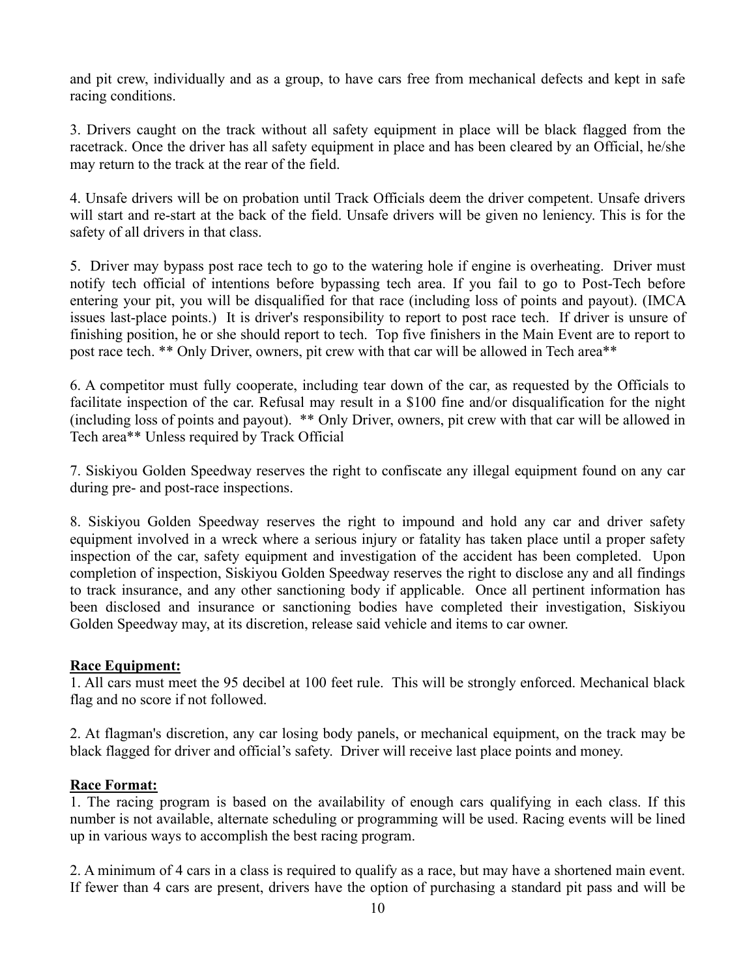and pit crew, individually and as a group, to have cars free from mechanical defects and kept in safe racing conditions.

3. Drivers caught on the track without all safety equipment in place will be black flagged from the racetrack. Once the driver has all safety equipment in place and has been cleared by an Official, he/she may return to the track at the rear of the field.

4. Unsafe drivers will be on probation until Track Officials deem the driver competent. Unsafe drivers will start and re-start at the back of the field. Unsafe drivers will be given no leniency. This is for the safety of all drivers in that class.

5. Driver may bypass post race tech to go to the watering hole if engine is overheating. Driver must notify tech official of intentions before bypassing tech area. If you fail to go to Post-Tech before entering your pit, you will be disqualified for that race (including loss of points and payout). (IMCA issues last-place points.) It is driver's responsibility to report to post race tech. If driver is unsure of finishing position, he or she should report to tech. Top five finishers in the Main Event are to report to post race tech. \*\* Only Driver, owners, pit crew with that car will be allowed in Tech area\*\*

6. A competitor must fully cooperate, including tear down of the car, as requested by the Officials to facilitate inspection of the car. Refusal may result in a \$100 fine and/or disqualification for the night (including loss of points and payout). \*\* Only Driver, owners, pit crew with that car will be allowed in Tech area\*\* Unless required by Track Official

7. Siskiyou Golden Speedway reserves the right to confiscate any illegal equipment found on any car during pre- and post-race inspections.

8. Siskiyou Golden Speedway reserves the right to impound and hold any car and driver safety equipment involved in a wreck where a serious injury or fatality has taken place until a proper safety inspection of the car, safety equipment and investigation of the accident has been completed. Upon completion of inspection, Siskiyou Golden Speedway reserves the right to disclose any and all findings to track insurance, and any other sanctioning body if applicable. Once all pertinent information has been disclosed and insurance or sanctioning bodies have completed their investigation, Siskiyou Golden Speedway may, at its discretion, release said vehicle and items to car owner.

#### **Race Equipment:**

1. All cars must meet the 95 decibel at 100 feet rule. This will be strongly enforced. Mechanical black flag and no score if not followed.

2. At flagman's discretion, any car losing body panels, or mechanical equipment, on the track may be black flagged for driver and official's safety. Driver will receive last place points and money.

#### **Race Format:**

1. The racing program is based on the availability of enough cars qualifying in each class. If this number is not available, alternate scheduling or programming will be used. Racing events will be lined up in various ways to accomplish the best racing program.

2. A minimum of 4 cars in a class is required to qualify as a race, but may have a shortened main event. If fewer than 4 cars are present, drivers have the option of purchasing a standard pit pass and will be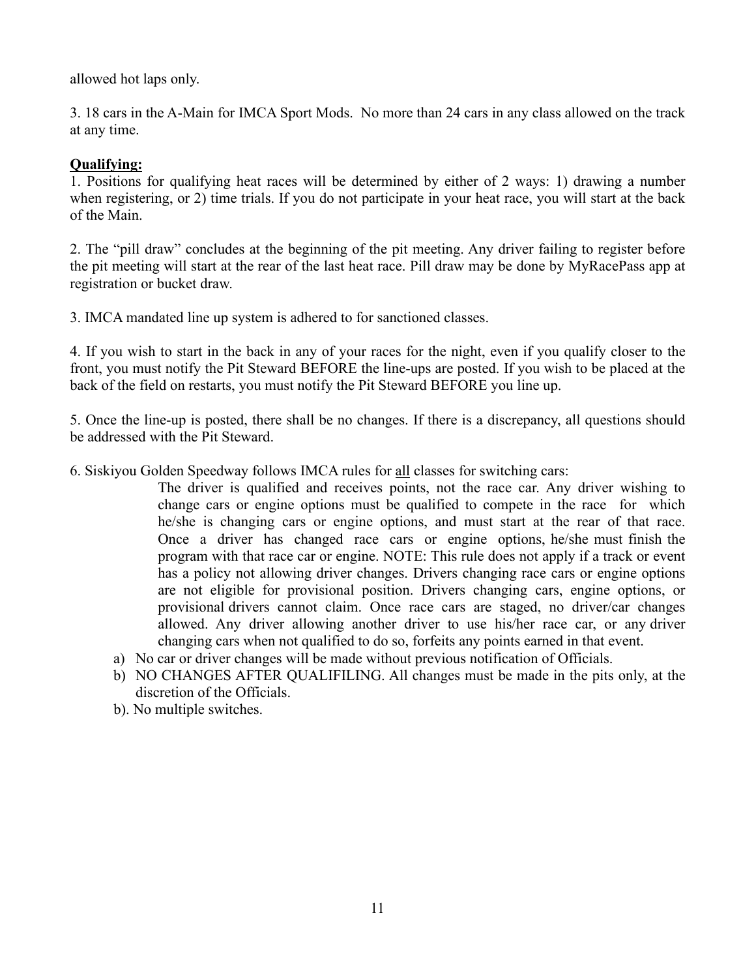allowed hot laps only.

3. 18 cars in the A-Main for IMCA Sport Mods. No more than 24 cars in any class allowed on the track at any time.

## **Qualifying:**

1. Positions for qualifying heat races will be determined by either of 2 ways: 1) drawing a number when registering, or 2) time trials. If you do not participate in your heat race, you will start at the back of the Main.

2. The "pill draw" concludes at the beginning of the pit meeting. Any driver failing to register before the pit meeting will start at the rear of the last heat race. Pill draw may be done by MyRacePass app at registration or bucket draw.

3. IMCA mandated line up system is adhered to for sanctioned classes.

4. If you wish to start in the back in any of your races for the night, even if you qualify closer to the front, you must notify the Pit Steward BEFORE the line-ups are posted. If you wish to be placed at the back of the field on restarts, you must notify the Pit Steward BEFORE you line up.

5. Once the line-up is posted, there shall be no changes. If there is a discrepancy, all questions should be addressed with the Pit Steward.

6. Siskiyou Golden Speedway follows IMCA rules for all classes for switching cars:

The driver is qualified and receives points, not the race car. Any driver wishing to change cars or engine options must be qualified to compete in the race for which he/she is changing cars or engine options, and must start at the rear of that race. Once a driver has changed race cars or engine options, he/she must finish the program with that race car or engine. NOTE: This rule does not apply if a track or event has a policy not allowing driver changes. Drivers changing race cars or engine options are not eligible for provisional position. Drivers changing cars, engine options, or provisional drivers cannot claim. Once race cars are staged, no driver/car changes allowed. Any driver allowing another driver to use his/her race car, or any driver changing cars when not qualified to do so, forfeits any points earned in that event.

- a) No car or driver changes will be made without previous notification of Officials.
- b) NO CHANGES AFTER QUALIFILING. All changes must be made in the pits only, at the discretion of the Officials.
- b). No multiple switches.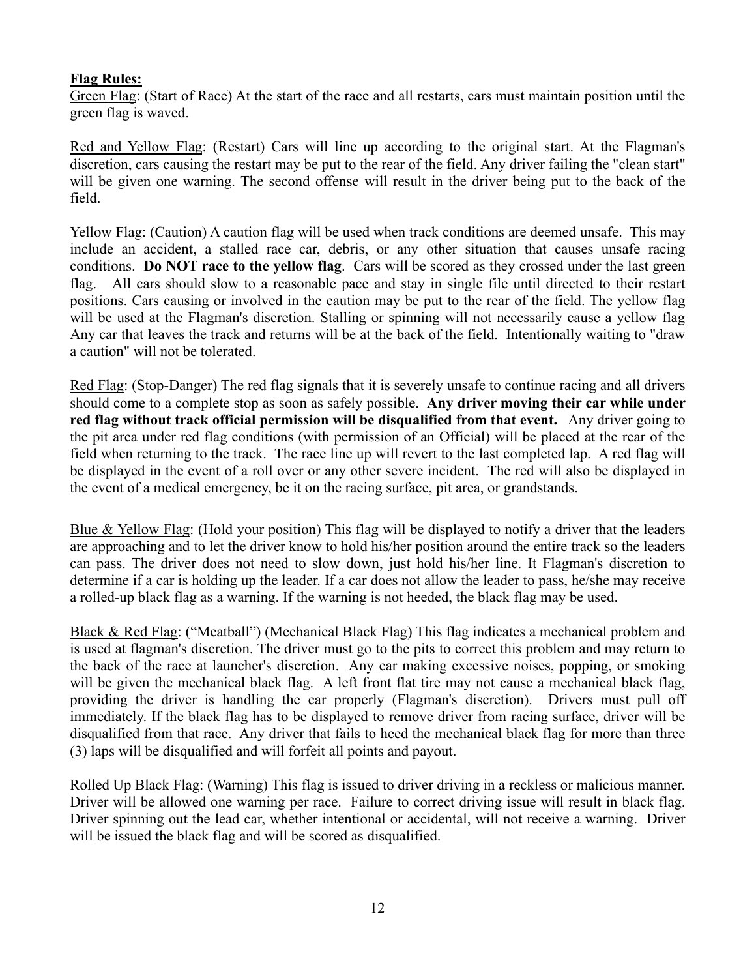## **Flag Rules:**

Green Flag: (Start of Race) At the start of the race and all restarts, cars must maintain position until the green flag is waved.

Red and Yellow Flag: (Restart) Cars will line up according to the original start. At the Flagman's discretion, cars causing the restart may be put to the rear of the field. Any driver failing the "clean start" will be given one warning. The second offense will result in the driver being put to the back of the field.

Yellow Flag: (Caution) A caution flag will be used when track conditions are deemed unsafe. This may include an accident, a stalled race car, debris, or any other situation that causes unsafe racing conditions. **Do NOT race to the yellow flag**. Cars will be scored as they crossed under the last green flag. All cars should slow to a reasonable pace and stay in single file until directed to their restart positions. Cars causing or involved in the caution may be put to the rear of the field. The yellow flag will be used at the Flagman's discretion. Stalling or spinning will not necessarily cause a yellow flag Any car that leaves the track and returns will be at the back of the field. Intentionally waiting to "draw a caution" will not be tolerated.

Red Flag: (Stop-Danger) The red flag signals that it is severely unsafe to continue racing and all drivers should come to a complete stop as soon as safely possible. **Any driver moving their car while under red flag without track official permission will be disqualified from that event.** Any driver going to the pit area under red flag conditions (with permission of an Official) will be placed at the rear of the field when returning to the track. The race line up will revert to the last completed lap. A red flag will be displayed in the event of a roll over or any other severe incident. The red will also be displayed in the event of a medical emergency, be it on the racing surface, pit area, or grandstands.

Blue & Yellow Flag: (Hold your position) This flag will be displayed to notify a driver that the leaders are approaching and to let the driver know to hold his/her position around the entire track so the leaders can pass. The driver does not need to slow down, just hold his/her line. It Flagman's discretion to determine if a car is holding up the leader. If a car does not allow the leader to pass, he/she may receive a rolled-up black flag as a warning. If the warning is not heeded, the black flag may be used.

Black & Red Flag: ("Meatball") (Mechanical Black Flag) This flag indicates a mechanical problem and is used at flagman's discretion. The driver must go to the pits to correct this problem and may return to the back of the race at launcher's discretion. Any car making excessive noises, popping, or smoking will be given the mechanical black flag. A left front flat tire may not cause a mechanical black flag, providing the driver is handling the car properly (Flagman's discretion). Drivers must pull off immediately. If the black flag has to be displayed to remove driver from racing surface, driver will be disqualified from that race. Any driver that fails to heed the mechanical black flag for more than three (3) laps will be disqualified and will forfeit all points and payout.

Rolled Up Black Flag: (Warning) This flag is issued to driver driving in a reckless or malicious manner. Driver will be allowed one warning per race. Failure to correct driving issue will result in black flag. Driver spinning out the lead car, whether intentional or accidental, will not receive a warning. Driver will be issued the black flag and will be scored as disqualified.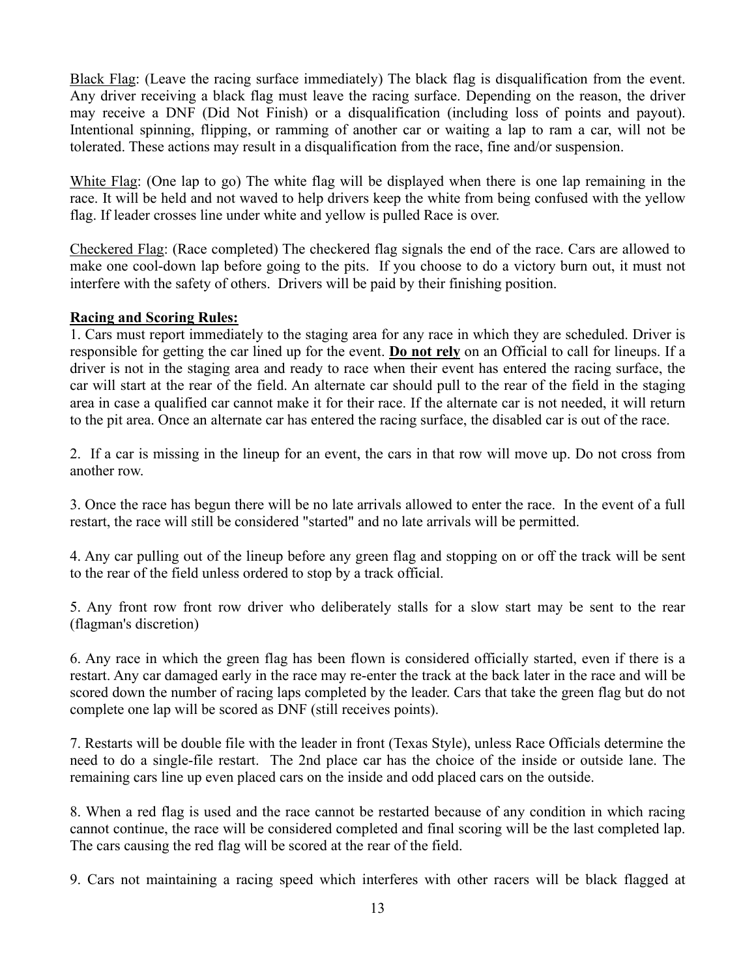Black Flag: (Leave the racing surface immediately) The black flag is disqualification from the event. Any driver receiving a black flag must leave the racing surface. Depending on the reason, the driver may receive a DNF (Did Not Finish) or a disqualification (including loss of points and payout). Intentional spinning, flipping, or ramming of another car or waiting a lap to ram a car, will not be tolerated. These actions may result in a disqualification from the race, fine and/or suspension.

White Flag: (One lap to go) The white flag will be displayed when there is one lap remaining in the race. It will be held and not waved to help drivers keep the white from being confused with the yellow flag. If leader crosses line under white and yellow is pulled Race is over.

Checkered Flag: (Race completed) The checkered flag signals the end of the race. Cars are allowed to make one cool-down lap before going to the pits. If you choose to do a victory burn out, it must not interfere with the safety of others. Drivers will be paid by their finishing position.

#### **Racing and Scoring Rules:**

1. Cars must report immediately to the staging area for any race in which they are scheduled. Driver is responsible for getting the car lined up for the event. **Do not rely** on an Official to call for lineups. If a driver is not in the staging area and ready to race when their event has entered the racing surface, the car will start at the rear of the field. An alternate car should pull to the rear of the field in the staging area in case a qualified car cannot make it for their race. If the alternate car is not needed, it will return to the pit area. Once an alternate car has entered the racing surface, the disabled car is out of the race.

2. If a car is missing in the lineup for an event, the cars in that row will move up. Do not cross from another row.

3. Once the race has begun there will be no late arrivals allowed to enter the race. In the event of a full restart, the race will still be considered "started" and no late arrivals will be permitted.

4. Any car pulling out of the lineup before any green flag and stopping on or off the track will be sent to the rear of the field unless ordered to stop by a track official.

5. Any front row front row driver who deliberately stalls for a slow start may be sent to the rear (flagman's discretion)

6. Any race in which the green flag has been flown is considered officially started, even if there is a restart. Any car damaged early in the race may re-enter the track at the back later in the race and will be scored down the number of racing laps completed by the leader. Cars that take the green flag but do not complete one lap will be scored as DNF (still receives points).

7. Restarts will be double file with the leader in front (Texas Style), unless Race Officials determine the need to do a single-file restart. The 2nd place car has the choice of the inside or outside lane. The remaining cars line up even placed cars on the inside and odd placed cars on the outside.

8. When a red flag is used and the race cannot be restarted because of any condition in which racing cannot continue, the race will be considered completed and final scoring will be the last completed lap. The cars causing the red flag will be scored at the rear of the field.

9. Cars not maintaining a racing speed which interferes with other racers will be black flagged at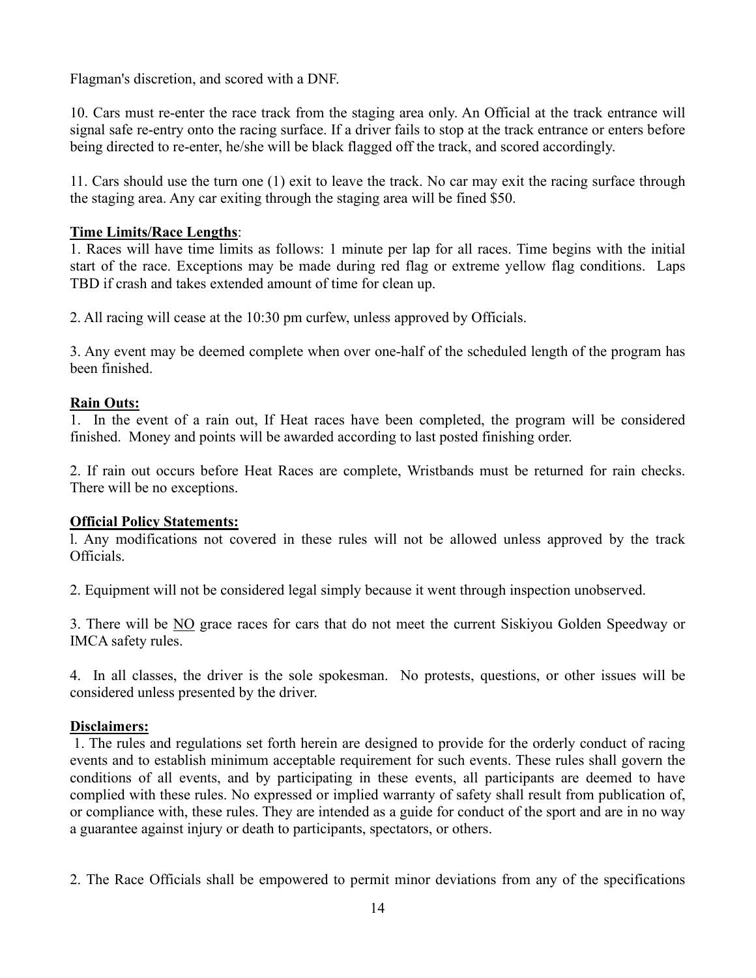Flagman's discretion, and scored with a DNF.

10. Cars must re-enter the race track from the staging area only. An Official at the track entrance will signal safe re-entry onto the racing surface. If a driver fails to stop at the track entrance or enters before being directed to re-enter, he/she will be black flagged off the track, and scored accordingly.

11. Cars should use the turn one (1) exit to leave the track. No car may exit the racing surface through the staging area. Any car exiting through the staging area will be fined \$50.

## **Time Limits/Race Lengths**:

1. Races will have time limits as follows: 1 minute per lap for all races. Time begins with the initial start of the race. Exceptions may be made during red flag or extreme yellow flag conditions. Laps TBD if crash and takes extended amount of time for clean up.

2. All racing will cease at the 10:30 pm curfew, unless approved by Officials.

3. Any event may be deemed complete when over one-half of the scheduled length of the program has been finished.

#### **Rain Outs:**

1. In the event of a rain out, If Heat races have been completed, the program will be considered finished. Money and points will be awarded according to last posted finishing order.

2. If rain out occurs before Heat Races are complete, Wristbands must be returned for rain checks. There will be no exceptions.

#### **Official Policy Statements:**

l. Any modifications not covered in these rules will not be allowed unless approved by the track Officials.

2. Equipment will not be considered legal simply because it went through inspection unobserved.

3. There will be NO grace races for cars that do not meet the current Siskiyou Golden Speedway or IMCA safety rules.

4. In all classes, the driver is the sole spokesman. No protests, questions, or other issues will be considered unless presented by the driver.

#### **Disclaimers:**

1. The rules and regulations set forth herein are designed to provide for the orderly conduct of racing events and to establish minimum acceptable requirement for such events. These rules shall govern the conditions of all events, and by participating in these events, all participants are deemed to have complied with these rules. No expressed or implied warranty of safety shall result from publication of, or compliance with, these rules. They are intended as a guide for conduct of the sport and are in no way a guarantee against injury or death to participants, spectators, or others.

2. The Race Officials shall be empowered to permit minor deviations from any of the specifications